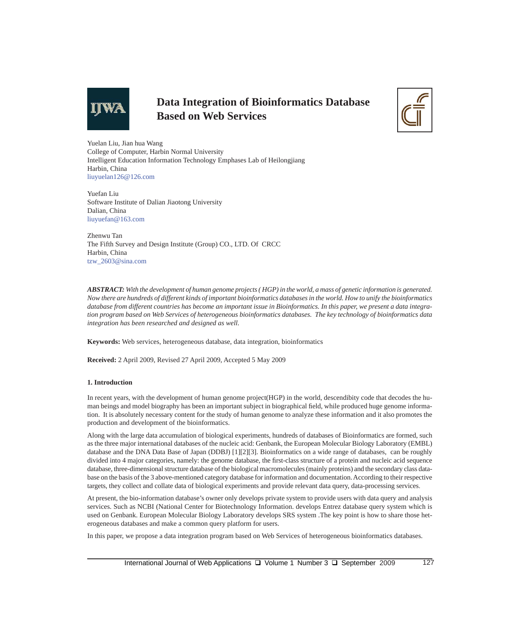

# **Data Integration of Bioinformatics Database Based on Web Services**



Yuelan Liu, Jian hua Wang College of Computer, Harbin Normal University Intelligent Education Information Technology Emphases Lab of Heilongjiang Harbin, China liuyuelan126@126.com

Yuefan Liu Software Institute of Dalian Jiaotong University Dalian, China liuyuefan@163.com

Zhenwu Tan The Fifth Survey and Design Institute (Group) CO., LTD. Of CRCC Harbin, China tzw\_2603@sina.com

*ABSTRACT: With the development of human genome projects ( HGP) in the world, a mass of genetic information is generated. Now there are hundreds of different kinds of important bioinformatics databases in the world. How to unify the bioinformatics database from different countries has become an important issue in Bioinformatics. In this paper, we present a data integration program based on Web Services of heterogeneous bioinformatics databases. The key technology of bioinformatics data integration has been researched and designed as well.*

**Keywords:** Web services, heterogeneous database, data integration, bioinformatics

**Received:** 2 April 2009, Revised 27 April 2009, Accepted 5 May 2009

## **1. Introduction**

In recent years, with the development of human genome project(HGP) in the world, descendibity code that decodes the human beings and model biography has been an important subject in biographical field, while produced huge genome information. It is absolutely necessary content for the study of human genome to analyze these information and it also promotes the production and development of the bioinformatics.

Along with the large data accumulation of biological experiments, hundreds of databases of Bioinformatics are formed, such as the three major international databases of the nucleic acid: Genbank, the European Molecular Biology Laboratory (EMBL) database and the DNA Data Base of Japan (DDBJ) [1][2][3]. Bioinformatics on a wide range of databases, can be roughly divided into 4 major categories, namely: the genome database, the first-class structure of a protein and nucleic acid sequence database, three-dimensional structure database of the biological macromolecules (mainly proteins) and the secondary class database on the basis of the 3 above-mentioned category database for information and documentation. According to their respective targets, they collect and collate data of biological experiments and provide relevant data query, data-processing services.

At present, the bio-information database's owner only develops private system to provide users with data query and analysis services. Such as NCBI (National Center for Biotechnology Information. develops Entrez database query system which is used on Genbank. European Molecular Biology Laboratory develops SRS system .The key point is how to share those heterogeneous databases and make a common query platform for users.

In this paper, we propose a data integration program based on Web Services of heterogeneous bioinformatics databases.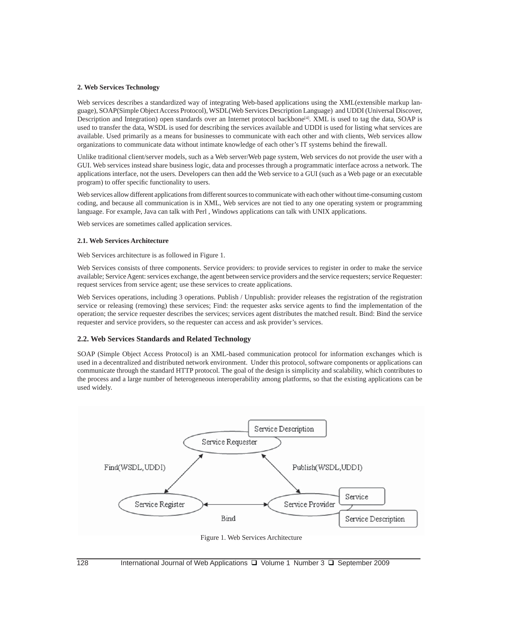#### **2. Web Services Technology**

Web services describes a standardized way of integrating Web-based applications using the XML(extensible markup language), SOAP(Simple Object Access Protocol), WSDL(Web Services Description Language) and UDDI (Universal Discover, Description and Integration) open standards over an Internet protocol backbone<sup>[4]</sup>. XML is used to tag the data, SOAP is used to transfer the data, WSDL is used for describing the services available and UDDI is used for listing what services are available. Used primarily as a means for businesses to communicate with each other and with clients, Web services allow organizations to communicate data without intimate knowledge of each other's IT systems behind the firewall.

Unlike traditional client/server models, such as a Web server/Web page system, Web services do not provide the user with a GUI. Web services instead share business logic, data and processes through a programmatic interface across a network. The applications interface, not the users. Developers can then add the Web service to a GUI (such as a Web page or an executable program) to offer specific functionality to users.

Web services allow different applications from different sources to communicate with each other without time-consuming custom coding, and because all communication is in XML, Web services are not tied to any one operating system or programming language. For example, Java can talk with Perl , Windows applications can talk with UNIX applications.

Web services are sometimes called application services.

## **2.1. Web Services Architecture**

Web Services architecture is as followed in Figure 1.

Web Services consists of three components. Service providers: to provide services to register in order to make the service available; Service Agent: services exchange, the agent between service providers and the service requesters; service Requester: request services from service agent; use these services to create applications.

Web Services operations, including 3 operations. Publish / Unpublish: provider releases the registration of the registration service or releasing (removing) these services; Find: the requester asks service agents to find the implementation of the operation; the service requester describes the services; services agent distributes the matched result. Bind: Bind the service requester and service providers, so the requester can access and ask provider's services.

#### **2.2. Web Services Standards and Related Technology**

SOAP (Simple Object Access Protocol) is an XML-based communication protocol for information exchanges which is used in a decentralized and distributed network environment. Under this protocol, software components or applications can communicate through the standard HTTP protocol. The goal of the design is simplicity and scalability, which contributes to the process and a large number of heterogeneous interoperability among platforms, so that the existing applications can be used widely.



Figure 1. Web Services Architecture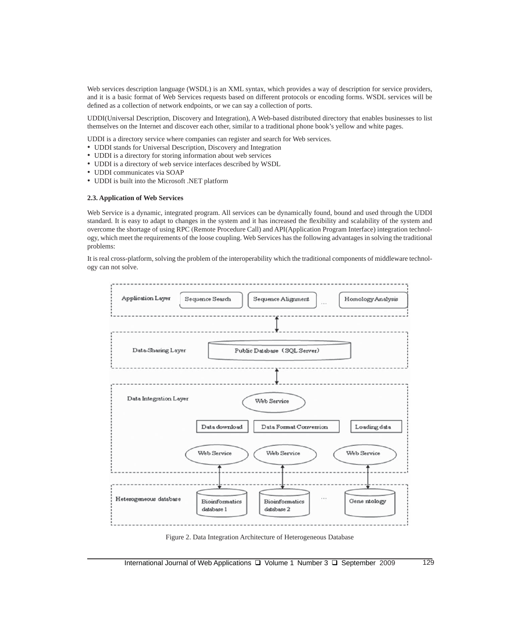Web services description language (WSDL) is an XML syntax, which provides a way of description for service providers, and it is a basic format of Web Services requests based on different protocols or encoding forms. WSDL services will be defined as a collection of network endpoints, or we can say a collection of ports.

UDDI(Universal Description, Discovery and Integration), A Web-based distributed directory that enables businesses to list themselves on the Internet and discover each other, similar to a traditional phone book's yellow and white pages.

UDDI is a directory service where companies can register and search for Web services.

- UDDI stands for Universal Description, Discovery and Integration
- UDDI is a directory for storing information about web services
- UDDI is a directory of web service interfaces described by WSDL
- UDDI communicates via SOAP
- UDDI is built into the Microsoft .NET platform

### **2.3. Application of Web Services**

Web Service is a dynamic, integrated program. All services can be dynamically found, bound and used through the UDDI standard. It is easy to adapt to changes in the system and it has increased the flexibility and scalability of the system and overcome the shortage of using RPC (Remote Procedure Call) and API(Application Program Interface) integration technology, which meet the requirements of the loose coupling. Web Services has the following advantages in solving the traditional problems:

It is real cross-platform, solving the problem of the interoperability which the traditional components of middleware technology can not solve.

| Application Layer      | Homology Analysis<br>Sequence Search<br>Sequence Alignment<br>$\cdots$ |
|------------------------|------------------------------------------------------------------------|
|                        |                                                                        |
| Data-Sharing Layer     | Public Database (SQL Server)                                           |
|                        |                                                                        |
| Data Integration Layer | Web Service                                                            |
|                        | Data download<br>Data Format Conversion<br>Loading data                |
|                        | Web Service<br>Web Service<br>Web Service                              |
| Heterogeneous database | <br>Gene ntology<br><b>Bioinformatics</b><br><b>Bioinformatics</b>     |

Figure 2. Data Integration Architecture of Heterogeneous Database

International Journal of Web Applications  $\Box$  Volume 1 Number 3  $\Box$  September 2009 129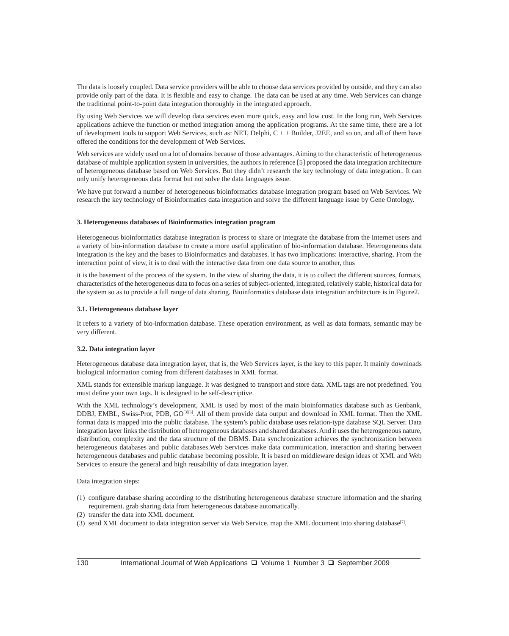The data is loosely coupled. Data service providers will be able to choose data services provided by outside, and they can also provide only part of the data. It is flexible and easy to change. The data can be used at any time. Web Services can change the traditional point-to-point data integration thoroughly in the integrated approach.

By using Web Services we will develop data services even more quick, easy and low cost. In the long run, Web Services applications achieve the function or method integration among the application programs. At the same time, there are a lot of development tools to support Web Services, such as: NET, Delphi, C + + Builder, J2EE, and so on, and all of them have offered the conditions for the development of Web Services.

Web services are widely used on a lot of domains because of those advantages. Aiming to the characteristic of heterogeneous database of multiple application system in universities, the authors in reference [5] proposed the data integration architecture of heterogeneous database based on Web Services. But they didn't research the key technology of data integration.. It can only unify heterogeneous data format but not solve the data languages issue.

We have put forward a number of heterogeneous bioinformatics database integration program based on Web Services. We research the key technology of Bioinformatics data integration and solve the different language issue by Gene Ontology.

#### **3. Heterogeneous databases of Bioinformatics integration program**

Heterogeneous bioinformatics database integration is process to share or integrate the database from the Internet users and a variety of bio-information database to create a more useful application of bio-information database. Heterogeneous data integration is the key and the bases to Bioinformatics and databases. it has two implications: interactive, sharing. From the interaction point of view, it is to deal with the interactive data from one data source to another, thus

it is the basement of the process of the system. In the view of sharing the data, it is to collect the different sources, formats, characteristics of the heterogeneous data to focus on a series of subject-oriented, integrated, relatively stable, historical data for the system so as to provide a full range of data sharing. Bioinformatics database data integration architecture is in Figure2.

#### **3.1. Heterogeneous database layer**

It refers to a variety of bio-information database. These operation environment, as well as data formats, semantic may be very different.

#### **3.2. Data integration layer**

Heterogeneous database data integration layer, that is, the Web Services layer, is the key to this paper. It mainly downloads biological information coming from different databases in XML format.

XML stands for extensible markup language. It was designed to transport and store data. XML tags are not predefined. You must define your own tags. It is designed to be self-descriptive.

With the XML technology's development, XML is used by most of the main bioinformatics database such as Genbank, DDBJ, EMBL, Swiss-Prot, PDB, GO[3][6]. All of them provide data output and download in XML format. Then the XML format data is mapped into the public database. The system's public database uses relation-type database SQL Server. Data integration layer links the distribution of heterogeneous databases and shared databases. And it uses the heterogeneous nature, distribution, complexity and the data structure of the DBMS. Data synchronization achieves the synchronization between heterogeneous databases and public databases.Web Services make data communication, interaction and sharing between heterogeneous databases and public database becoming possible. It is based on middleware design ideas of XML and Web Services to ensure the general and high reusability of data integration layer.

Data integration steps:

- (1) configure database sharing according to the distributing heterogeneous database structure information and the sharing requirement. grab sharing data from heterogeneous database automatically.
- (2) transfer the data into XML document.
- (3) send XML document to data integration server via Web Service. map the XML document into sharing database[7].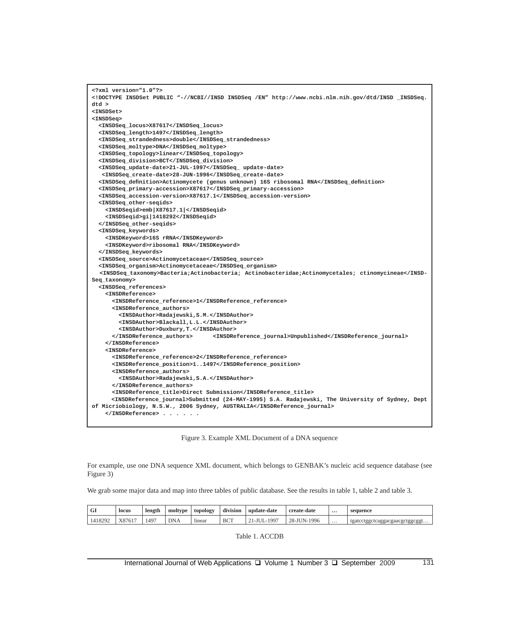```
<?xml version="1.0"?>
<!DOCTYPE INSDSet PUBLIC "-//NCBI//INSD INSDSeq /EN" http://www.ncbi.nlm.nih.gov/dtd/INSD _INSDSeq.
dtd >
<INSDSet>
<INSDSeq>
   <INSDSeq_locus>X87617</INSDSeq_locus>
   <INSDSeq_length>1497</INSDSeq_length>
   <INSDSeq_strandedness>double</INSDSeq_strandedness>
   <INSDSeq_moltype>DNA</INSDSeq_moltype>
   <INSDSeq_topology>linear</INSDSeq_topology>
   <INSDSeq_division>BCT</INSDSeq_division>
   <INSDSeq_update-date>21-JUL-1997</INSDSeq_ update-date>
   <INSDSeq_create-date>28-JUN-1996</INSDSeq_create-date>
   <INSDSeq_definition>Actinomycete (genus unknown) 16S ribosomal RNA</INSDSeq_definition>
   <INSDSeq_primary-accession>X87617</INSDSeq_primary-accession>
   <INSDSeq_accession-version>X87617.1</INSDSeq_accession-version>
   <INSDSeq_other-seqids>
     <INSDSeqid>emb|X87617.1|</INSDSeqid>
     <INSDSeqid>gi|1418292</INSDSeqid>
   </INSDSeq_other-seqids>
   <INSDSeq_keywords>
     <INSDKeyword>16S rRNA</INSDKeyword>
     <INSDKeyword>ribosomal RNA</INSDKeyword>
   </INSDSeq_keywords>
   <INSDSeq_source>Actinomycetaceae</INSDSeq_source>
   <INSDSeq_organism>Actinomycetaceae</INSDSeq_organism>
   <INSDSeq_taxonomy>Bacteria;Actinobacteria; Actinobacteridae;Actinomycetales; ctinomycineae</INSD-
Seq_taxonomy>
   <INSDSeq_references> 
     <INSDReference>
       <INSDReference_reference>1</INSDReference_reference>
       <INSDReference_authors>
         <INSDAuthor>Radajewski,S.M.</INSDAuthor>
         <INSDAuthor>Blackall,L.L.</INSDAuthor>
         <INSDAuthor>Duxbury,T.</INSDAuthor>
       </INSDReference_authors> <INSDReference_journal>Unpublished</INSDReference_journal>
     </INSDReference>
     <INSDReference>
       <INSDReference_reference>2</INSDReference_reference>
       <INSDReference_position>1..1497</INSDReference_position>
       <INSDReference_authors>
         <INSDAuthor>Radajewski,S.A.</INSDAuthor>
       </INSDReference_authors>
       <INSDReference_title>Direct Submission</INSDReference_title>
       <INSDReference_journal>Submitted (24-MAY-1995) S.A. Radajewski, The University of Sydney, Dept 
of Micriobiology, N.S.W., 2006 Sydney, AUSTRALIA</INSDReference_journal>
     </INSDReference> . . . . . .
```
Figure 3. Example XML Document of a DNA sequence

For example, use one DNA sequence XML document, which belongs to GENBAK's nucleic acid sequence database (see Figure 3)

We grab some major data and map into three tables of public database. See the results in table 1, table 2 and table 3.

| GI      | locus           | length | moltype    | topology          | $\cdots$<br>division | update-date | create-date                       | $\cdots$ | sequence                       |
|---------|-----------------|--------|------------|-------------------|----------------------|-------------|-----------------------------------|----------|--------------------------------|
| 1418292 | Y87617<br>A8701 | .497   | <b>DNA</b> | $\cdot$<br>linear | <b>BCT</b>           | $199^{-}$   | $28 - 1$<br>$\sim$ H IN.<br>1996- | $\cdots$ | tgatcctggctcaggacgaacgctggcggt |

Table 1. ACCDB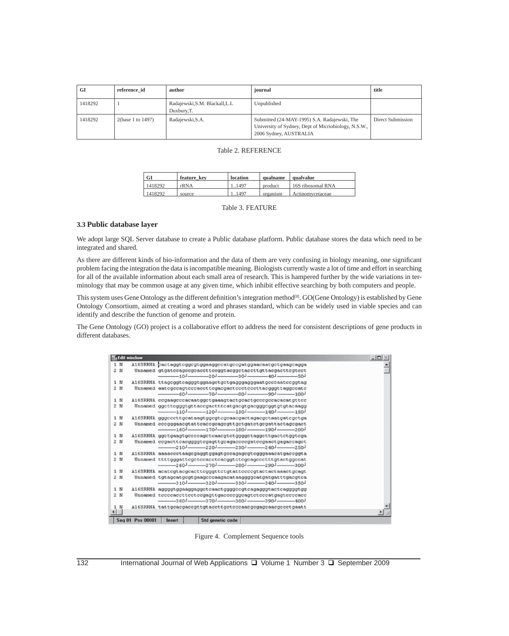| GI      | reference id      | author                                         | journal                                                                                                                        | title             |
|---------|-------------------|------------------------------------------------|--------------------------------------------------------------------------------------------------------------------------------|-------------------|
| 1418292 |                   | Radajewski, S.M. Blackall, L.L.<br>Duxbury, T. | Unpublished                                                                                                                    |                   |
| 1418292 | 2(base 1 to 1497) | Radajewski, S.A.                               | Submitted (24-MAY-1995) S.A. Radajewski, The<br>University of Sydney, Dept of Micriobiology, N.S.W.,<br>2006 Sydney, AUSTRALIA | Direct Submission |

## Table 2. REFERENCE

| GI      | feature key | location | qualname | qualvalue         |
|---------|-------------|----------|----------|-------------------|
| 1418292 | rRNA        | 11497    | product  | 16S ribosomal RNA |
| 1418292 | source      | 11497    | organism | Actinomycetaceae  |

Table 3. FEATURE

## **3.3 Public database layer**

We adopt large SQL Server database to create a Public database platform. Public database stores the data which need to be integrated and shared.

As there are different kinds of bio-information and the data of them are very confusing in biology meaning, one significant problem facing the integration the data is incompatible meaning. Biologists currently waste a lot of time and effort in searching for all of the available information about each small area of research. This is hampered further by the wide variations in terminology that may be common usage at any given time, which inhibit effective searching by both computers and people.

This system uses Gene Ontology as the different definition's integration method<sup>[8]</sup>. GO(Gene Ontology) is established by Gene Ontology Consortium, aimed at creating a word and phrases standard, which can be widely used in viable species and can identify and describe the function of genome and protein.

The Gene Ontology (GO) project is a collaborative effort to address the need for consistent descriptions of gene products in different databases.

|            | Edit window |                                                                                                                                                                                                                                  | $ \Box$ |
|------------|-------------|----------------------------------------------------------------------------------------------------------------------------------------------------------------------------------------------------------------------------------|---------|
| 1 N<br>2 N |             | A16SRRNA cactaggtcggcgtggaaggccatgccgatggaacaatgctgaagcagga<br>Unnamed gtgatccagccgcaccttccggtacggctaccttgttacgacttcgtcct<br>$-$ 10- $-$ 20- $-$ 30- $-$ 40- $-$ 50-                                                             |         |
| 1 N<br>2 N |             | A16SRRNA ttageggteagggtggaagetgetgagggagggaatgeecaateeggtag<br>Unnamed aatcgccagtcccaccttcgacgactccctcccttacgggttaggccatc<br>$-601 - 701 - 801 - 901 - 1001$                                                                     |         |
| 1 N<br>2 N |             | A16SRRNA ccgaagcccacaatggctgaaagtactgcactgcccgccacacatgttcc<br>Unnamed ggcttcgggtgttaccgactttcatgacgtgacgggcggtgtgtacaagg<br>$-110$ <sup>1</sup> $-120$ <sup>1</sup> $-130$ <sup>1</sup> $-140$ <sup>1</sup> $-150$ <sup>1</sup> |         |
| 1 N<br>2 N |             | A16SRRNA gggcccttgcataagtggcgtcgcaacgactagacgctaatgatcgctga<br>Unnamed cccgggaacgtattcaccgcagcgttgctgatctgcgattactagcgact<br>$-160$ <sup>1</sup> $-170$ <sup>1</sup> $-180$ <sup>1</sup> $-190$ <sup>1</sup> $-200$ <sup>1</sup> |         |
| 1 N<br>2 N |             | A16SRRNA ggctgaagtgccccagctcaacgtctggggctaggcttgactctggtcga<br>Unnamed ccgacttcacggggtcgagttgcagaccccgatccgaactgagaccagct<br>$-210$ $-220$ $-230$ $-240$ $-250$                                                                  |         |
| 1 N<br>2 N |             | A16SRRNA aaaaccctaagcgaggtggagtgccagagcgtcgggaaacatgaccggta<br>Unnamed ttttgggattcgctccacctcacggtctcgcagccctttgtactggccat                                                                                                        |         |
| 1 N<br>2 N |             | A16SRRNA acategtacgcacttegggttctgtatteccegtactactaaactgcagt<br>Unnamed tgtagcatgcgtgaagcccaagacataaggggcatgatgatttgacgtca<br>$-310$ $-320$ $-330$ $-340$ $-350$                                                                  |         |
| 1 N<br>2 N |             | A16SRRNA aggggtggaaggaggctcaactggggccgtcagagggtactcaggggtgg<br>Unnamed tecceacettectecgagttgaceccggcagteteccatgagtecceace<br>$-$ 360- $-$ 370- $-$ 380- $-$ 390- $-$ 400-                                                        |         |
| 1 N<br>T   |             | A16SRRNA tattgcacgaccgttgtaccttgctcccaacgcgagcaacgccctgaatt                                                                                                                                                                      |         |

Figure 4. Complement Sequence tools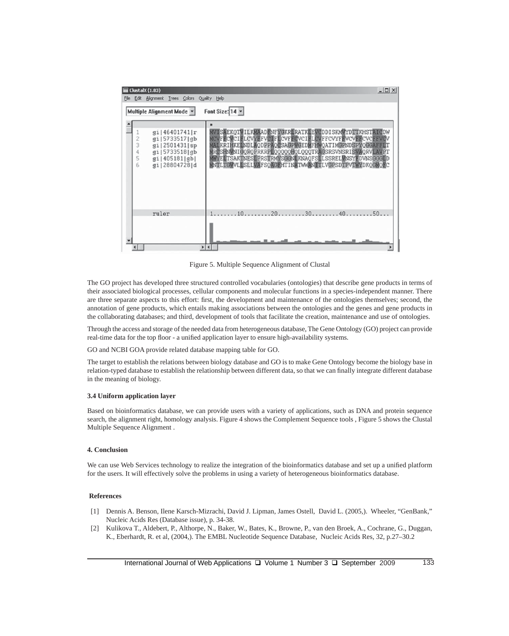| ClustalX (1.83)                                                                                                               | $ \Box$ $\times$                                                                                                                                                                                                                                                                                                                                 |
|-------------------------------------------------------------------------------------------------------------------------------|--------------------------------------------------------------------------------------------------------------------------------------------------------------------------------------------------------------------------------------------------------------------------------------------------------------------------------------------------|
| File Edit Alignment Trees Colors Quality Help                                                                                 |                                                                                                                                                                                                                                                                                                                                                  |
| Multiple Alignment Mode v                                                                                                     | Font Size: 14 -                                                                                                                                                                                                                                                                                                                                  |
| q1 46401741 r<br>$2300$<br>g1 5733517 gb<br>gi   2501431   sp<br>gi   5733518   gb<br>gi 405181 gb <br>6<br>gi   28804728   d | MVISÄEKOTVILKMAADENFYGKRIRATKIEVODDISKMVDTTKHSTAIODW<br>MOVFECVCIELCVYFFVCIFLCVFFCVCIELCVFFCVYFFVCVFFCVCFFVCV<br>MALKRIHKELNDLAODPPAOCSAGPVGEDMFHWOATIMGPNDSPYOGGAFFLT<br>MRCSHNWNIGQRQPRKRPLQQQQQHQLQQQTRAGSRSVNSRISVAQRVLAVFT<br>MWELTSAKINESLPRSTRMYSGGNLKNAQFSLLSSRELVNSYFDVNSGGGLD<br>MNILTGVVLISLLVAFSQAGHHTINATWWANITLVGPSDTPVTWYDKQGMQHC |
| ruler                                                                                                                         | $1, \ldots, 10, \ldots, 20, \ldots, 30, \ldots, 40, \ldots, 50, \ldots$                                                                                                                                                                                                                                                                          |
|                                                                                                                               |                                                                                                                                                                                                                                                                                                                                                  |

Figure 5. Multiple Sequence Alignment of Clustal

The GO project has developed three structured controlled vocabularies (ontologies) that describe gene products in terms of their associated biological processes, cellular components and molecular functions in a species-independent manner. There are three separate aspects to this effort: first, the development and maintenance of the ontologies themselves; second, the annotation of gene products, which entails making associations between the ontologies and the genes and gene products in the collaborating databases; and third, development of tools that facilitate the creation, maintenance and use of ontologies.

Through the access and storage of the needed data from heterogeneous database, The Gene Ontology (GO) project can provide real-time data for the top floor - a unified application layer to ensure high-availability systems.

GO and NCBI GOA provide related database mapping table for GO.

The target to establish the relations between biology database and GO is to make Gene Ontology become the biology base in relation-typed database to establish the relationship between different data, so that we can finally integrate different database in the meaning of biology.

## **3.4 Uniform application layer**

Based on bioinformatics database, we can provide users with a variety of applications, such as DNA and protein sequence search, the alignment right, homology analysis. Figure 4 shows the Complement Sequence tools , Figure 5 shows the Clustal Multiple Sequence Alignment .

## **4. Conclusion**

We can use Web Services technology to realize the integration of the bioinformatics database and set up a unified platform for the users. It will effectively solve the problems in using a variety of heterogeneous bioinformatics database.

## **References**

- [1] Dennis A. Benson, Ilene Karsch-Mizrachi, David J. Lipman, James Ostell, David L. (2005,). Wheeler, "GenBank," Nucleic Acids Res (Database issue), p. 34-38.
- [2] Kulikova T., Aldebert, P., Althorpe, N., Baker, W., Bates, K., Browne, P., van den Broek, A., Cochrane, G., Duggan, K., Eberhardt, R. et al, (2004,). The EMBL Nucleotide Sequence Database, Nucleic Acids Res, 32, p.27–30.2